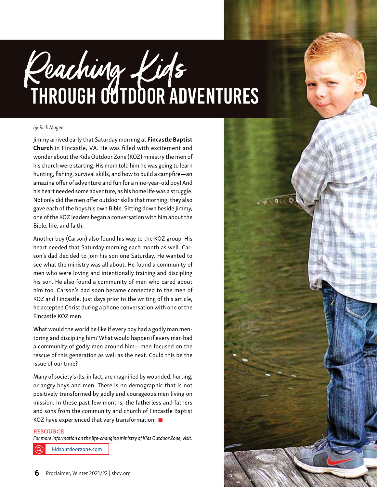# THROUGH OUTDOOR ADVENTURES Reaching Kids

#### *by Rick Magee*

Jimmy arrived early that Saturday morning at Fincastle Baptist Church in Fincastle, VA. He was filled with excitement and wonder about the Kids Outdoor Zone (KOZ) ministry the men of his church were starting. His mom told him he was going to learn hunting, fishing, survival skills, and how to build a campfire—an amazing offer of adventure and fun for a nine-year-old boy! And his heart needed some adventure, as his home life was a struggle. Not only did the men offer outdoor skills that morning; they also gave each of the boys his own Bible. Sitting down beside Jimmy, one of the KOZ leaders began a conversation with him about the Bible, life, and faith.

Another boy (Carson) also found his way to the KOZ group. His heart needed that Saturday morning each month as well. Carson's dad decided to join his son one Saturday. He wanted to see what the ministry was all about. He found a community of men who were loving and intentionally training and discipling his son. He also found a community of men who cared about him too. Carson's dad soon became connected to the men of KOZ and Fincastle. Just days prior to the writing of this article, he accepted Christ during a phone conversation with one of the Fincastle KOZ men.

What would the world be like if every boy had a godly man mentoring and discipling him? What would happen if every man had a community of godly men around him—men focused on the rescue of this generation as well as the next. Could this be the issue of our time?

Many of society's ills, in fact, are magnified by wounded, hurting, or angry boys and men. There is no demographic that is not positively transformed by godly and courageous men living on mission. In these past few months, the fatherless and fathers and sons from the community and church of Fincastle Baptist KOZ have experienced that very transformation! ■

### RESOURCE:

*For more information on the life-changing ministry of Kids Outdoor Zone, visit:* 

kidsoutdoorzone.com